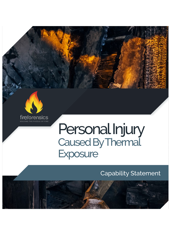



## Personal Injury Caused By Thermal **Exposure**

## Capability Statement

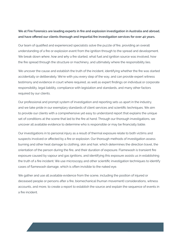## **We at Fire Forensics are leading experts in fire and explosion investigation in Australia and abroad, and have offered our clients thorough and impartial fire investigation services for over 40 years.**

Our team of qualified and experienced specialists solve the puzzle of fire, providing an overall understanding of a fire or explosion event from the ignition through to the spread and development. We break down *where*, *how* and *why* a fire started, what fuel and ignition source was involved, how the fire spread through the structure or machinery, and ultimately where the responsibility lies.

We uncover the cause and establish the truth of the incident, identifying whether the fire was started accidentally or deliberately. We're with you every step of the way, and can provide expert witness testimony and evidence in court where required, as well as expert findings on individual or corporate responsibility, legal liability, compliance with legislation and standards, and many other factors required by our clients.

Our professional and prompt system of investigation and reporting sets us apart in the industry, and we take pride in our exemplary standards of client services and scientific techniques. We aim to provide our clients with a comprehensive yet easy to understand report that explains the unique set of conditions at the scene that led to the fire at hand. Through our thorough investigations, we uncover all available evidence to determine who is responsible or may be financially liable.

Our investigations in to personal injury as a result of thermal exposure relate to both victims and suspects involved or affected by a fire or explosion. Our thorough methods of investigation assess burning and other heat damage to clothing, skin and hair, which determines the direction travel, the orientation of the person during the fire, and their duration of exposure. Flamewash is transient fire exposure caused by vapour and gas ignitions, and identifying this exposure assists us in establishing the truth of a fire incident. We use microscopy and other scientific investigation techniques to identify cases of flamewash damage, which is often invisible to the naked eye.

We gather and use all available evidence from the scene, including the position of injured or deceased people or persons after a fire, biomechanical (human movement) considerations, witness accounts, and more, to create a report to establish the source and explain the sequence of events in a fire incident.